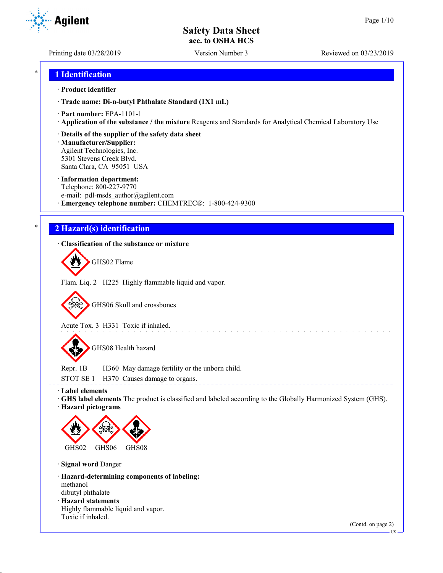Printing date 03/28/2019 Version Number 3 Reviewed on 03/23/2019

### \* **1 Identification**

### · **Product identifier**

· **Trade name: Di-n-butyl Phthalate Standard (1X1 mL)**

- · **Part number:** EPA-1101-1
- · **Application of the substance / the mixture** Reagents and Standards for Analytical Chemical Laboratory Use

### · **Details of the supplier of the safety data sheet**

· **Manufacturer/Supplier:** Agilent Technologies, Inc. 5301 Stevens Creek Blvd. Santa Clara, CA 95051 USA

### · **Information department:**

Telephone: 800-227-9770 e-mail: pdl-msds author@agilent.com · **Emergency telephone number:** CHEMTREC®: 1-800-424-9300

# \* **2 Hazard(s) identification**

### · **Classification of the substance or mixture**

GHS02 Flame

Flam. Liq. 2 H225 Highly flammable liquid and vapor.

GHS06 Skull and crossbones

Acute Tox. 3 H331 Toxic if inhaled.

GHS08 Health hazard

Repr. 1B H360 May damage fertility or the unborn child.

STOT SE 1 H370 Causes damage to organs.

· **Label elements**

· **GHS label elements** The product is classified and labeled according to the Globally Harmonized System (GHS). · **Hazard pictograms**

and a series and a series and a series

------------------------------------



· **Signal word** Danger

Toxic if inhaled.

· **Hazard-determining components of labeling:** methanol dibutyl phthalate · **Hazard statements** Highly flammable liquid and vapor.

(Contd. on page 2)



US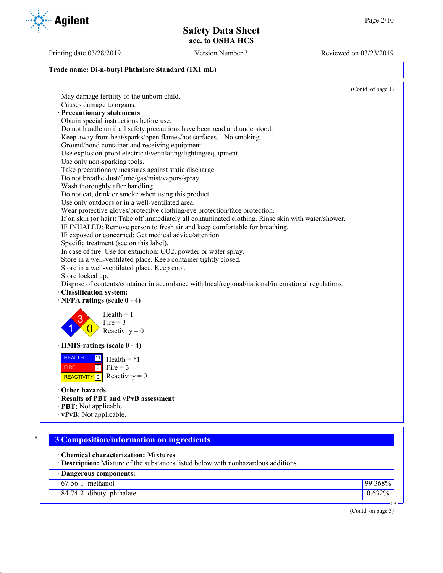Printing date 03/28/2019 Version Number 3 Reviewed on 03/23/2019

### **Trade name: Di-n-butyl Phthalate Standard (1X1 mL)**

(Contd. of page 1) May damage fertility or the unborn child. Causes damage to organs. · **Precautionary statements** Obtain special instructions before use. Do not handle until all safety precautions have been read and understood. Keep away from heat/sparks/open flames/hot surfaces. - No smoking. Ground/bond container and receiving equipment. Use explosion-proof electrical/ventilating/lighting/equipment. Use only non-sparking tools. Take precautionary measures against static discharge. Do not breathe dust/fume/gas/mist/vapors/spray. Wash thoroughly after handling. Do not eat, drink or smoke when using this product. Use only outdoors or in a well-ventilated area. Wear protective gloves/protective clothing/eye protection/face protection. If on skin (or hair): Take off immediately all contaminated clothing. Rinse skin with water/shower. IF INHALED: Remove person to fresh air and keep comfortable for breathing. IF exposed or concerned: Get medical advice/attention. Specific treatment (see on this label). In case of fire: Use for extinction: CO2, powder or water spray. Store in a well-ventilated place. Keep container tightly closed. Store in a well-ventilated place. Keep cool. Store locked up. Dispose of contents/container in accordance with local/regional/national/international regulations. · **Classification system:** · **NFPA ratings (scale 0 - 4)** 1 3  $\overline{0}$  $Health = 1$ Fire  $= 3$ Reactivity  $= 0$ · **HMIS-ratings (scale 0 - 4)** HEALTH FIRE REACTIVITY  $\boxed{0}$  Reactivity = 0  $\overline{1}$  Health = \*1  $3$  Fire = 3 · **Other hazards** · **Results of PBT and vPvB assessment** · **PBT:** Not applicable. · **vPvB:** Not applicable. \* **3 Composition/information on ingredients** · **Chemical characterization: Mixtures** · **Description:** Mixture of the substances listed below with nonhazardous additions. · **Dangerous components:** 67-56-1 methanol 99.368%



|  | 84-74-2 dibutyl phthalate |  | 0.632% |
|--|---------------------------|--|--------|
|--|---------------------------|--|--------|

(Contd. on page 3)

US

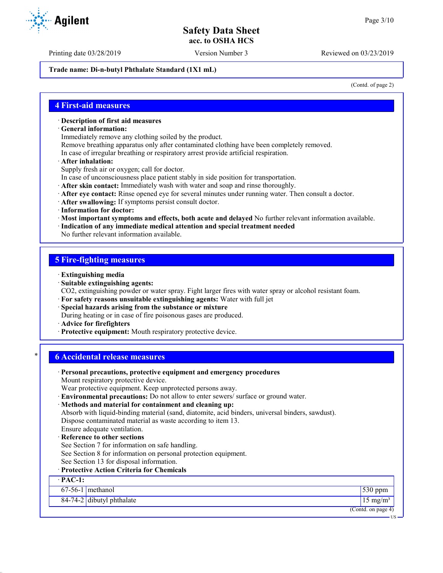**Trade name: Di-n-butyl Phthalate Standard (1X1 mL)**

(Contd. of page 2)

US

### **4 First-aid measures**

- · **Description of first aid measures**
- · **General information:**

Immediately remove any clothing soiled by the product.

Remove breathing apparatus only after contaminated clothing have been completely removed.

- In case of irregular breathing or respiratory arrest provide artificial respiration.
- · **After inhalation:**

Supply fresh air or oxygen; call for doctor.

- In case of unconsciousness place patient stably in side position for transportation.
- · **After skin contact:** Immediately wash with water and soap and rinse thoroughly.
- · **After eye contact:** Rinse opened eye for several minutes under running water. Then consult a doctor.
- · **After swallowing:** If symptoms persist consult doctor.
- · **Information for doctor:**
- · **Most important symptoms and effects, both acute and delayed** No further relevant information available.
- · **Indication of any immediate medical attention and special treatment needed**

No further relevant information available.

# **5 Fire-fighting measures**

- · **Extinguishing media**
- · **Suitable extinguishing agents:**
- CO2, extinguishing powder or water spray. Fight larger fires with water spray or alcohol resistant foam.
- · **For safety reasons unsuitable extinguishing agents:** Water with full jet
- · **Special hazards arising from the substance or mixture**
- During heating or in case of fire poisonous gases are produced.
- · **Advice for firefighters**
- · **Protective equipment:** Mouth respiratory protective device.

# \* **6 Accidental release measures**

· **Personal precautions, protective equipment and emergency procedures** Mount respiratory protective device. Wear protective equipment. Keep unprotected persons away. · **Environmental precautions:** Do not allow to enter sewers/ surface or ground water. · **Methods and material for containment and cleaning up:** Absorb with liquid-binding material (sand, diatomite, acid binders, universal binders, sawdust). Dispose contaminated material as waste according to item 13. Ensure adequate ventilation. **Reference to other sections** See Section 7 for information on safe handling. See Section 8 for information on personal protection equipment. See Section 13 for disposal information. · **Protective Action Criteria for Chemicals** · **PAC-1:** 67-56-1 methanol 530 ppm  $84-74-2$  dibutyl phthalate 15 mg/m<sup>3</sup> (Contd. on page 4)



Printing date 03/28/2019 Version Number 3 Reviewed on 03/23/2019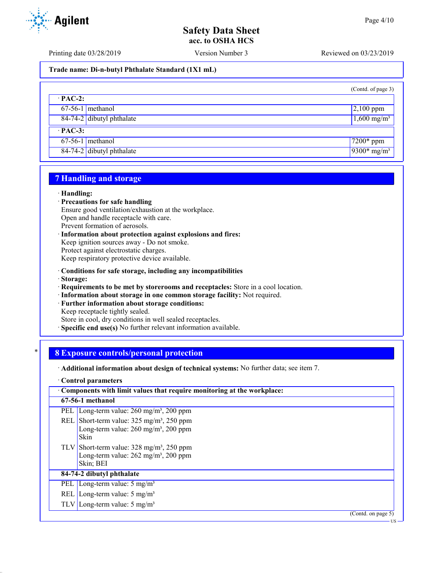Printing date 03/28/2019 Version Number 3 Reviewed on 03/23/2019

### **Trade name: Di-n-butyl Phthalate Standard (1X1 mL)**

|                           | (Contd. of page 3)        |
|---------------------------|---------------------------|
| $\cdot$ PAC-2:            |                           |
| $67-56-1$ methanol        | $2,100$ ppm               |
| 84-74-2 dibutyl phthalate | $1,600 \text{ mg/m}^3$    |
| $\cdot$ PAC-3:            |                           |
| $67-56-1$ methanol        | $7200*$ ppm               |
| 84-74-2 dibutyl phthalate | $9300*$ mg/m <sup>3</sup> |

### **7 Handling and storage**

### · **Handling:**

- · **Precautions for safe handling**
- Ensure good ventilation/exhaustion at the workplace.

Open and handle receptacle with care.

Prevent formation of aerosols.

· **Information about protection against explosions and fires:**

Keep ignition sources away - Do not smoke.

Protect against electrostatic charges.

Keep respiratory protective device available.

- · **Conditions for safe storage, including any incompatibilities**
- · **Storage:**
- · **Requirements to be met by storerooms and receptacles:** Store in a cool location.
- · **Information about storage in one common storage facility:** Not required.
- · **Further information about storage conditions:**

Keep receptacle tightly sealed.

Store in cool, dry conditions in well sealed receptacles.

· **Specific end use(s)** No further relevant information available.

### \* **8 Exposure controls/personal protection**

· **Additional information about design of technical systems:** No further data; see item 7.

· **Control parameters**

| Components with limit values that require monitoring at the workplace: |                                                                                                                                          |  |
|------------------------------------------------------------------------|------------------------------------------------------------------------------------------------------------------------------------------|--|
|                                                                        | 67-56-1 methanol                                                                                                                         |  |
|                                                                        | PEL Long-term value: $260 \text{ mg/m}^3$ , $200 \text{ ppm}$                                                                            |  |
|                                                                        | REL Short-term value: $325 \text{ mg/m}^3$ , $250 \text{ ppm}$<br>Long-term value: $260$ mg/m <sup>3</sup> , $200$ ppm<br><b>Skin</b>    |  |
|                                                                        | TLV Short-term value: $328 \text{ mg/m}^3$ , $250 \text{ ppm}$<br>Long-term value: $262 \text{ mg/m}^3$ , $200 \text{ ppm}$<br>Skin; BEI |  |
|                                                                        | 84-74-2 dibutyl phthalate                                                                                                                |  |
|                                                                        | PEL   Long-term value: $5 \text{ mg/m}^3$                                                                                                |  |
|                                                                        | REL Long-term value: $5 \text{ mg/m}^3$                                                                                                  |  |
|                                                                        | TLV Long-term value: $5 \text{ mg/m}^3$                                                                                                  |  |
|                                                                        | (Contd. on page $5$ )                                                                                                                    |  |
|                                                                        | US                                                                                                                                       |  |

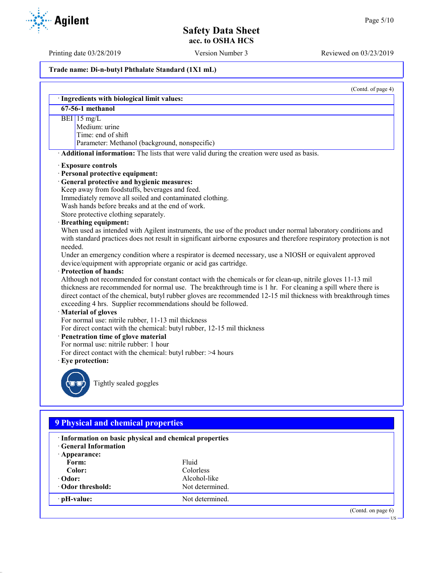US

# **Safety Data Sheet acc. to OSHA HCS**

Printing date 03/28/2019 Version Number 3 Reviewed on 03/23/2019

### **Trade name: Di-n-butyl Phthalate Standard (1X1 mL)**

|         | (Contd. of page 4)<br>· Ingredients with biological limit values:                                                                                                                                                                                                                                                                                                                                                                                                                                                                                                                                                                               |
|---------|-------------------------------------------------------------------------------------------------------------------------------------------------------------------------------------------------------------------------------------------------------------------------------------------------------------------------------------------------------------------------------------------------------------------------------------------------------------------------------------------------------------------------------------------------------------------------------------------------------------------------------------------------|
|         | $67-56-1$ methanol                                                                                                                                                                                                                                                                                                                                                                                                                                                                                                                                                                                                                              |
|         | BEI 15 mg/L<br>Medium: urine<br>Time: end of shift<br>Parameter: Methanol (background, nonspecific)                                                                                                                                                                                                                                                                                                                                                                                                                                                                                                                                             |
|         | Additional information: The lists that were valid during the creation were used as basis.                                                                                                                                                                                                                                                                                                                                                                                                                                                                                                                                                       |
|         | <b>Exposure controls</b><br>· Personal protective equipment:<br>· General protective and hygienic measures:<br>Keep away from foodstuffs, beverages and feed.<br>Immediately remove all soiled and contaminated clothing.<br>Wash hands before breaks and at the end of work.<br>Store protective clothing separately.<br>· Breathing equipment:<br>When used as intended with Agilent instruments, the use of the product under normal laboratory conditions and<br>with standard practices does not result in significant airborne exposures and therefore respiratory protection is not                                                      |
| needed. | Under an emergency condition where a respirator is deemed necessary, use a NIOSH or equivalent approved<br>device/equipment with appropriate organic or acid gas cartridge.<br>· Protection of hands:<br>Although not recommended for constant contact with the chemicals or for clean-up, nitrile gloves 11-13 mil<br>thickness are recommended for normal use. The breakthrough time is 1 hr. For cleaning a spill where there is<br>direct contact of the chemical, butyl rubber gloves are recommended 12-15 mil thickness with breakthrough times<br>exceeding 4 hrs. Supplier recommendations should be followed.<br>· Material of gloves |
|         | For normal use: nitrile rubber, 11-13 mil thickness<br>For direct contact with the chemical: butyl rubber, 12-15 mil thickness<br>· Penetration time of glove material<br>For normal use: nitrile rubber: 1 hour<br>For direct contact with the chemical: butyl rubber: >4 hours<br>· Eye protection:                                                                                                                                                                                                                                                                                                                                           |
|         | Tightly sealed goggles                                                                                                                                                                                                                                                                                                                                                                                                                                                                                                                                                                                                                          |

# **9 Physical and chemical properties**

| · Information on basic physical and chemical properties<br><b>C</b> eneral Information<br>$\cdot$ Appearance: |                  |                       |
|---------------------------------------------------------------------------------------------------------------|------------------|-----------------------|
| Form:                                                                                                         | Fluid            |                       |
| Color:                                                                                                        | <b>Colorless</b> |                       |
| $\cdot$ Odor:                                                                                                 | Alcohol-like     |                       |
| Odor threshold:                                                                                               | Not determined.  |                       |
| $\cdot$ pH-value:                                                                                             | Not determined.  |                       |
|                                                                                                               |                  | (Contd. on page $6$ ) |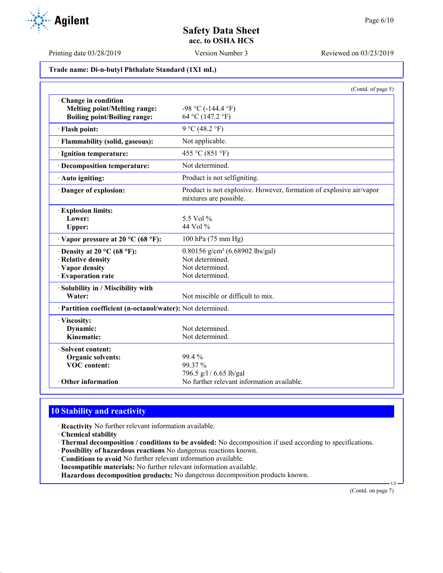Printing date 03/28/2019 Version Number 3 Reviewed on 03/23/2019

**Trade name: Di-n-butyl Phthalate Standard (1X1 mL)**

|                                                                                                   | (Contd. of page 5)                                                                                   |
|---------------------------------------------------------------------------------------------------|------------------------------------------------------------------------------------------------------|
| Change in condition<br><b>Melting point/Melting range:</b><br><b>Boiling point/Boiling range:</b> | $-98$ °C ( $-144.4$ °F)<br>64 °C (147.2 °F)                                                          |
| · Flash point:                                                                                    | 9 °C (48.2 °F)                                                                                       |
| · Flammability (solid, gaseous):                                                                  | Not applicable.                                                                                      |
| · Ignition temperature:                                                                           | 455 °C (851 °F)                                                                                      |
| · Decomposition temperature:                                                                      | Not determined.                                                                                      |
| · Auto igniting:                                                                                  | Product is not selfigniting.                                                                         |
| · Danger of explosion:                                                                            | Product is not explosive. However, formation of explosive air/vapor<br>mixtures are possible.        |
| <b>Explosion limits:</b><br>Lower:<br>Upper:                                                      | 5.5 Vol %<br>44 Vol %                                                                                |
| $\cdot$ Vapor pressure at 20 °C (68 °F):                                                          | 100 hPa (75 mm Hg)                                                                                   |
| $\cdot$ Density at 20 °C (68 °F):<br>· Relative density<br>· Vapor density<br>· Evaporation rate  | 0.80156 g/cm <sup>3</sup> (6.68902 lbs/gal)<br>Not determined.<br>Not determined.<br>Not determined. |
| · Solubility in / Miscibility with<br>Water:                                                      | Not miscible or difficult to mix.                                                                    |
| · Partition coefficient (n-octanol/water): Not determined.                                        |                                                                                                      |
| · Viscosity:<br>Dynamic:<br>Kinematic:                                                            | Not determined.<br>Not determined.                                                                   |
| · Solvent content:<br>Organic solvents:<br><b>VOC</b> content:                                    | 99.4 %<br>99.37 %                                                                                    |
| <b>Other information</b>                                                                          | 796.5 g/l / 6.65 lb/gal<br>No further relevant information available.                                |

# **10 Stability and reactivity**

· **Reactivity** No further relevant information available.

- · **Chemical stability**
- · **Thermal decomposition / conditions to be avoided:** No decomposition if used according to specifications.
- · **Possibility of hazardous reactions** No dangerous reactions known.
- · **Conditions to avoid** No further relevant information available.
- · **Incompatible materials:** No further relevant information available.
- · **Hazardous decomposition products:** No dangerous decomposition products known.

(Contd. on page 7)

US

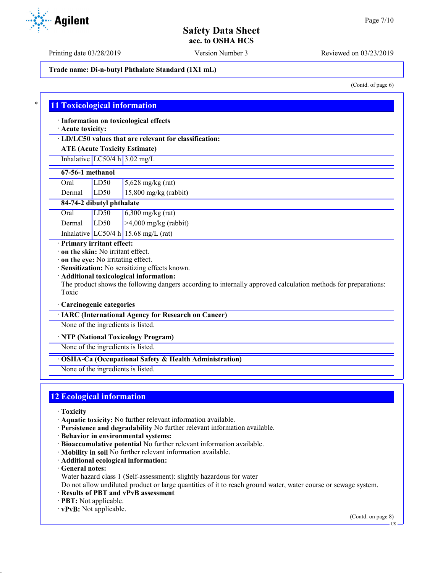Printing date 03/28/2019 Version Number 3 Reviewed on 03/23/2019

**Trade name: Di-n-butyl Phthalate Standard (1X1 mL)**

(Contd. of page 6)

### \* **11 Toxicological information**

· **Information on toxicological effects**

· **Acute toxicity:**

· **LD/LC50 values that are relevant for classification:**

**ATE (Acute Toxicity Estimate)** Inhalative  $LC50/4$  h  $3.02$  mg/L

### **67-56-1 methanol**

| Oral   | LD50 | $5,628$ mg/kg (rat)     |
|--------|------|-------------------------|
| Dermal | LD50 | $15,800$ mg/kg (rabbit) |

### **84-74-2 dibutyl phthalate**

Oral  $LD50$   $6,300$  mg/kg (rat) Dermal LD50 >4,000 mg/kg (rabbit)

Inhalative  $LC50/4$  h 15.68 mg/L (rat)

# · **Primary irritant effect:**

· **on the skin:** No irritant effect.

· **on the eye:** No irritating effect.

· **Sensitization:** No sensitizing effects known.

### · **Additional toxicological information:**

The product shows the following dangers according to internally approved calculation methods for preparations: Toxic

### · **Carcinogenic categories**

· **IARC (International Agency for Research on Cancer)**

None of the ingredients is listed.

· **NTP (National Toxicology Program)**

None of the ingredients is listed.

### · **OSHA-Ca (Occupational Safety & Health Administration)**

None of the ingredients is listed.

# **12 Ecological information**

- · **Toxicity**
- · **Aquatic toxicity:** No further relevant information available.
- · **Persistence and degradability** No further relevant information available.
- · **Behavior in environmental systems:**
- · **Bioaccumulative potential** No further relevant information available.
- · **Mobility in soil** No further relevant information available.
- · **Additional ecological information:**
- · **General notes:**
- Water hazard class 1 (Self-assessment): slightly hazardous for water

Do not allow undiluted product or large quantities of it to reach ground water, water course or sewage system.

- · **Results of PBT and vPvB assessment**
- · **PBT:** Not applicable.
- · **vPvB:** Not applicable.

(Contd. on page 8)

US

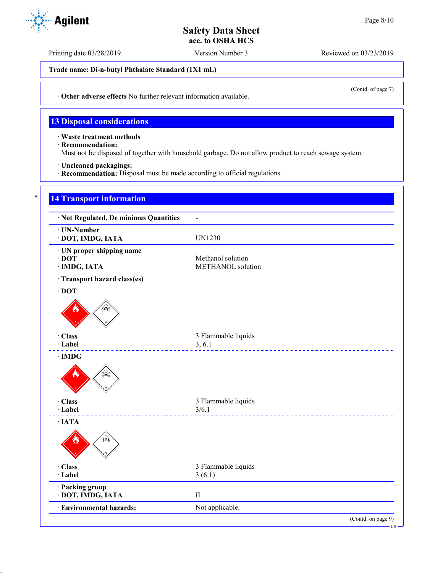Printing date 03/28/2019 Version Number 3 Reviewed on 03/23/2019

**Trade name: Di-n-butyl Phthalate Standard (1X1 mL)**

(Contd. of page 7)

· **Other adverse effects** No further relevant information available.

# **13 Disposal considerations**

· **Waste treatment methods**

- · **Recommendation:**
- Must not be disposed of together with household garbage. Do not allow product to reach sewage system.
- · **Uncleaned packagings:**
- · **Recommendation:** Disposal must be made according to official regulations.

| · Not Regulated, De minimus Quantities                   | $\blacksquare$                         |
|----------------------------------------------------------|----------------------------------------|
| · UN-Number<br>· DOT, IMDG, IATA                         | <b>UN1230</b>                          |
| · UN proper shipping name<br>$\cdot$ DOT<br>· IMDG, IATA | Methanol solution<br>METHANOL solution |
| · Transport hazard class(es)                             |                                        |
| $\cdot$ DOT                                              |                                        |
| په<br>په<br>· Class                                      | 3 Flammable liquids                    |
| · Label<br>$\cdot$ IMDG                                  | 3, 6.1                                 |
|                                                          |                                        |
| · Class                                                  | 3 Flammable liquids                    |
| · Label                                                  | 3/6.1                                  |
| $\cdot$ IATA<br>Տ≩                                       |                                        |
| · Class                                                  | 3 Flammable liquids                    |
| · Label                                                  | 3(6.1)                                 |
| · Packing group<br>· DOT, IMDG, IATA                     | $\rm II$                               |
| · Environmental hazards:                                 | Not applicable.                        |

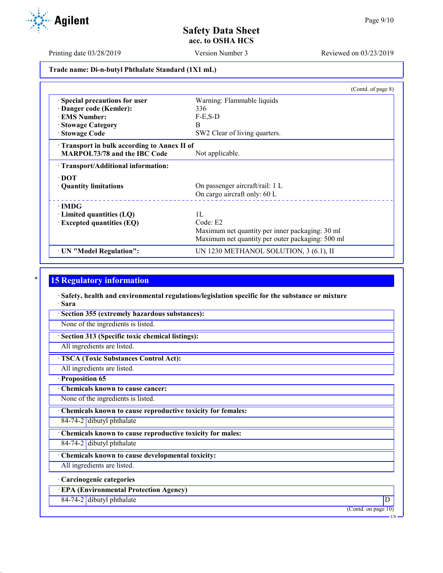Printing date 03/28/2019 Version Number 3 Reviewed on 03/23/2019

**Trade name: Di-n-butyl Phthalate Standard (1X1 mL)**

|                                            | (Contd. of page $8$ )                            |
|--------------------------------------------|--------------------------------------------------|
| · Special precautions for user             | Warning: Flammable liquids                       |
| Danger code (Kemler):                      | 336                                              |
| <b>EMS Number:</b>                         | $F-E$ , $S-D$                                    |
| · Stowage Category                         | B.                                               |
| · Stowage Code                             | SW2 Clear of living quarters.                    |
| Transport in bulk according to Annex II of |                                                  |
| <b>MARPOL73/78 and the IBC Code</b>        | Not applicable.                                  |
| · Transport/Additional information:        |                                                  |
| $\cdot$ DOT                                |                                                  |
| • Quantity limitations                     | On passenger aircraft/rail: 1 L                  |
|                                            | On cargo aircraft only: 60 L                     |
| $\cdot$ IMDG                               |                                                  |
| $\cdot$ Limited quantities (LQ)            | 1L                                               |
| $\cdot$ Excepted quantities (EQ)           | Code: E2                                         |
|                                            | Maximum net quantity per inner packaging: 30 ml  |
|                                            | Maximum net quantity per outer packaging: 500 ml |
| · UN "Model Regulation":                   | UN 1230 METHANOL SOLUTION, 3 (6.1), II           |

# **15 Regulatory information**

· **Safety, health and environmental regulations/legislation specific for the substance or mixture** · **Sara**

· **Section 355 (extremely hazardous substances):**

None of the ingredients is listed.

· **Section 313 (Specific toxic chemical listings):**

All ingredients are listed.

· **TSCA (Toxic Substances Control Act):**

All ingredients are listed.

· **Proposition 65**

· **Chemicals known to cause cancer:**

None of the ingredients is listed.

· **Chemicals known to cause reproductive toxicity for females:**

84-74-2 dibutyl phthalate

· **Chemicals known to cause reproductive toxicity for males:**

84-74-2 dibutyl phthalate

· **Chemicals known to cause developmental toxicity:**

All ingredients are listed.

· **Carcinogenic categories**

· **EPA (Environmental Protection Agency)**

84-74-2 dibutyl phthalate D

(Contd. on page 10)